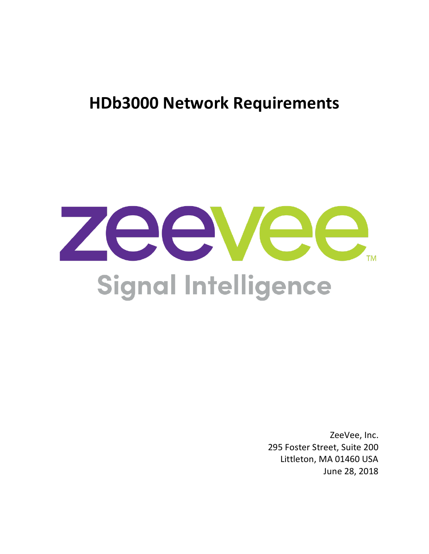# **HDb3000 Network Requirements**



ZeeVee, Inc. 295 Foster Street, Suite 200 Littleton, MA 01460 USA June 28, 2018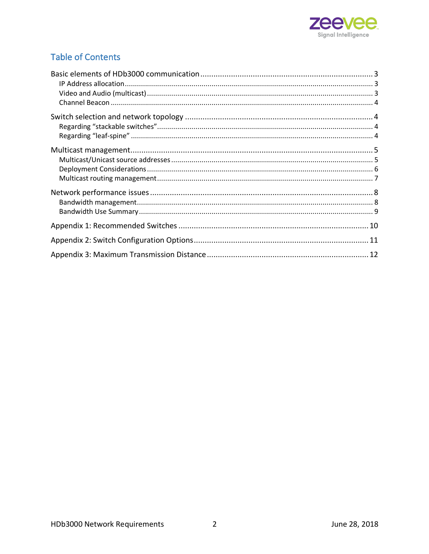

### **Table of Contents**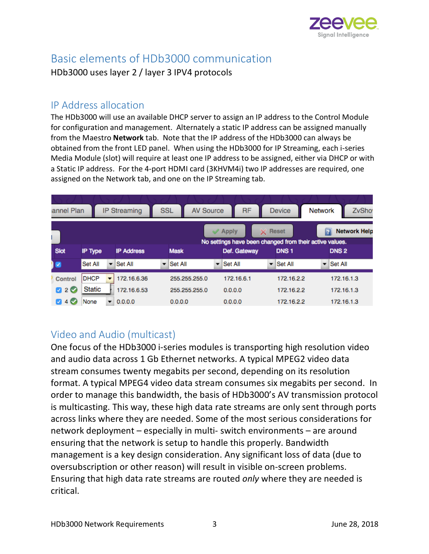

# Basic elements of HDb3000 communication

HDb3000 uses layer 2 / layer 3 IPV4 protocols

#### IP Address allocation

The HDb3000 will use an available DHCP server to assign an IP address to the Control Module for configuration and management. Alternately a static IP address can be assigned manually from the Maestro **Network** tab. Note that the IP address of the HDb3000 can always be obtained from the front LED panel. When using the HDb3000 for IP Streaming, each i-series Media Module (slot) will require at least one IP address to be assigned, either via DHCP or with a Static IP address. For the 4-port HDMI card (3KHVM4i) two IP addresses are required, one assigned on the Network tab, and one on the IP Streaming tab.

| annel Plan          |                |         | <b>IP Streaming</b> | <b>SSL</b>    | <b>AV Source</b>         | <b>RF</b>                                               |                          | <b>Device</b>    | Network |                          | <b>ZvSho</b> |
|---------------------|----------------|---------|---------------------|---------------|--------------------------|---------------------------------------------------------|--------------------------|------------------|---------|--------------------------|--------------|
|                     |                |         |                     |               |                          | <b>Apply</b>                                            |                          | X Reset          |         | <b>Network Help</b><br>7 |              |
|                     |                |         |                     |               |                          | No settings have been changed from their active values. |                          |                  |         |                          |              |
| <b>Slot</b>         | <b>IP Type</b> |         | <b>IP Address</b>   | <b>Mask</b>   |                          | Def. Gateway                                            |                          | DNS <sub>1</sub> |         | <b>DNS2</b>              |              |
| $\bullet$           | Set All        | $\cdot$ | <b>Set All</b>      | Set All<br>▼  | $\overline{\phantom{a}}$ | Set All                                                 | $\overline{\phantom{a}}$ | Set All          | ▼       | Set All                  |              |
| Control             | <b>DHCP</b>    |         | 172.16.6.36         | 255.255.255.0 |                          | 172.16.6.1                                              |                          | 172.16.2.2       |         | 172.16.1.3               |              |
| ø<br>2 <sup>o</sup> | <b>Static</b>  |         | 172.16.6.53         | 255.255.255.0 |                          | 0.0.0.0                                                 |                          | 172.16.2.2       |         | 172.16.1.3               |              |
| 4 V                 | None           |         | 0.0.0.0             | 0.0.0.0       |                          | 0.0.0.0                                                 |                          | 172.16.2.2       |         | 172.16.1.3               |              |

### Video and Audio (multicast)

One focus of the HDb3000 i-series modules is transporting high resolution video and audio data across 1 Gb Ethernet networks. A typical MPEG2 video data stream consumes twenty megabits per second, depending on its resolution format. A typical MPEG4 video data stream consumes six megabits per second. In order to manage this bandwidth, the basis of HDb3000's AV transmission protocol is multicasting. This way, these high data rate streams are only sent through ports across links where they are needed. Some of the most serious considerations for network deployment – especially in multi- switch environments – are around ensuring that the network is setup to handle this properly. Bandwidth management is a key design consideration. Any significant loss of data (due to oversubscription or other reason) will result in visible on-screen problems. Ensuring that high data rate streams are routed *only* where they are needed is critical.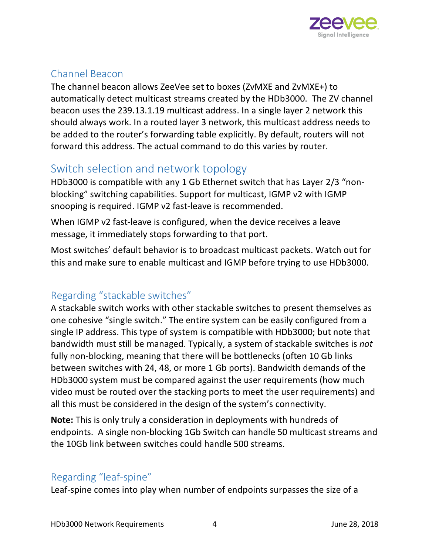

### Channel Beacon

The channel beacon allows ZeeVee set to boxes (ZvMXE and ZvMXE+) to automatically detect multicast streams created by the HDb3000. The ZV channel beacon uses the 239.13.1.19 multicast address. In a single layer 2 network this should always work. In a routed layer 3 network, this multicast address needs to be added to the router's forwarding table explicitly. By default, routers will not forward this address. The actual command to do this varies by router.

# Switch selection and network topology

HDb3000 is compatible with any 1 Gb Ethernet switch that has Layer 2/3 "nonblocking" switching capabilities. Support for multicast, IGMP v2 with IGMP snooping is required. IGMP v2 fast-leave is recommended.

When IGMP v2 fast-leave is configured, when the device receives a leave message, it immediately stops forwarding to that port.

Most switches' default behavior is to broadcast multicast packets. Watch out for this and make sure to enable multicast and IGMP before trying to use HDb3000.

# Regarding "stackable switches"

A stackable switch works with other stackable switches to present themselves as one cohesive "single switch." The entire system can be easily configured from a single IP address. This type of system is compatible with HDb3000; but note that bandwidth must still be managed. Typically, a system of stackable switches is *not*  fully non-blocking, meaning that there will be bottlenecks (often 10 Gb links between switches with 24, 48, or more 1 Gb ports). Bandwidth demands of the HDb3000 system must be compared against the user requirements (how much video must be routed over the stacking ports to meet the user requirements) and all this must be considered in the design of the system's connectivity.

**Note:** This is only truly a consideration in deployments with hundreds of endpoints. A single non-blocking 1Gb Switch can handle 50 multicast streams and the 10Gb link between switches could handle 500 streams.

### Regarding "leaf-spine"

Leaf-spine comes into play when number of endpoints surpasses the size of a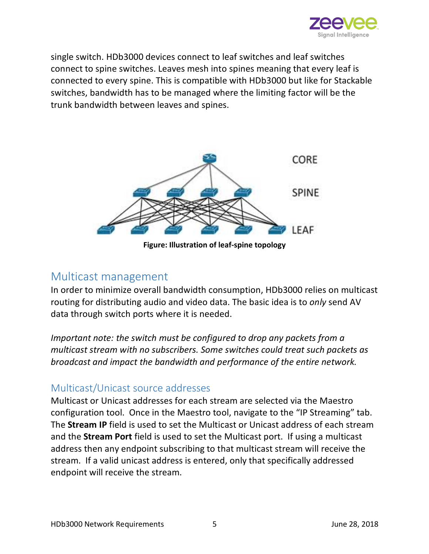

single switch. HDb3000 devices connect to leaf switches and leaf switches connect to spine switches. Leaves mesh into spines meaning that every leaf is connected to every spine. This is compatible with HDb3000 but like for Stackable switches, bandwidth has to be managed where the limiting factor will be the trunk bandwidth between leaves and spines.



**Figure: Illustration of leaf-spine topology**

#### Multicast management

In order to minimize overall bandwidth consumption, HDb3000 relies on multicast routing for distributing audio and video data. The basic idea is to *only* send AV data through switch ports where it is needed.

*Important note: the switch must be configured to drop any packets from a multicast stream with no subscribers. Some switches could treat such packets as broadcast and impact the bandwidth and performance of the entire network.* 

#### Multicast/Unicast source addresses

Multicast or Unicast addresses for each stream are selected via the Maestro configuration tool. Once in the Maestro tool, navigate to the "IP Streaming" tab. The **Stream IP** field is used to set the Multicast or Unicast address of each stream and the **Stream Port** field is used to set the Multicast port. If using a multicast address then any endpoint subscribing to that multicast stream will receive the stream. If a valid unicast address is entered, only that specifically addressed endpoint will receive the stream.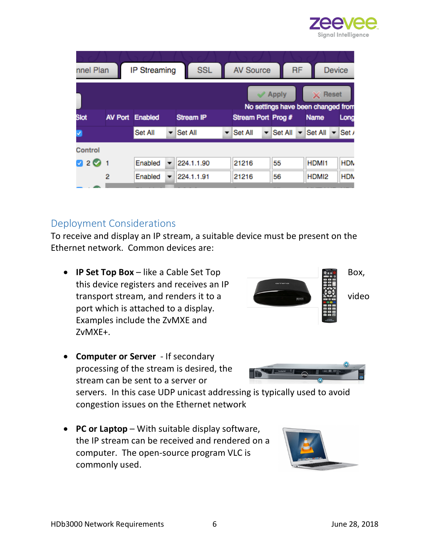

| nnel Plan                   |                | <b>IP Streaming</b>    | <b>SSL</b>       |                          | <b>AV Source</b>   |              | <b>RF</b> |                                         |       | <b>Device</b> |
|-----------------------------|----------------|------------------------|------------------|--------------------------|--------------------|--------------|-----------|-----------------------------------------|-------|---------------|
|                             |                |                        |                  |                          |                    | <b>Apply</b> |           | ×<br>No settings have been changed from | Reset |               |
| <b>Slot</b>                 |                | <b>AV Port Enabled</b> | <b>Stream IP</b> |                          | Stream Port Prog # |              |           | <b>Name</b>                             |       | Long          |
| V                           |                | Set All                | Set All          | $\overline{\phantom{a}}$ | Set All            | Set All      |           | Set All                                 |       | Set /         |
| Control                     |                |                        |                  |                          |                    |              |           |                                         |       |               |
| $\mathcal{A}$<br>$2\bullet$ | $\overline{1}$ | Enabled                | 224.1.1.90       |                          | 21216              | 55           |           | HDMI1                                   |       | <b>HDN</b>    |
|                             | 2              | Enabled                | 224.1.1.91       |                          | 21216              | 56           |           | HDMI2                                   |       | <b>HDN</b>    |
|                             |                |                        |                  |                          |                    |              |           |                                         |       |               |

#### Deployment Considerations

To receive and display an IP stream, a suitable device must be present on the Ethernet network. Common devices are:

• **IP Set Top Box** – like a Cable Set Top **Box**, Box, this device registers and receives an IP transport stream, and renders it to a video port which is attached to a display. Examples include the ZvMXE and ZvMXE+.



• **Computer or Server** - If secondary processing of the stream is desired, the stream can be sent to a server or

servers. In this case UDP unicast addressing is typically used to avoid congestion issues on the Ethernet network

• **PC or Laptop** – With suitable display software, the IP stream can be received and rendered on a computer. The open-source program VLC is commonly used.

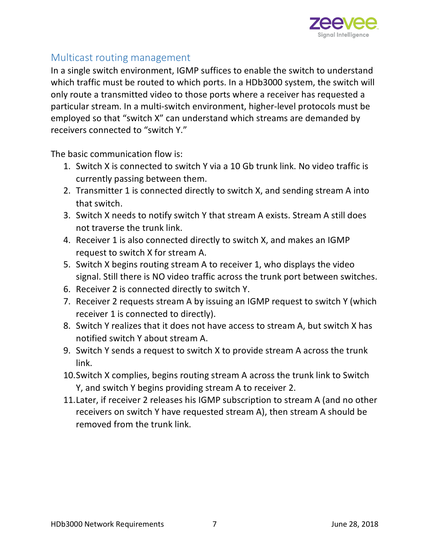

#### Multicast routing management

In a single switch environment, IGMP suffices to enable the switch to understand which traffic must be routed to which ports. In a HDb3000 system, the switch will only route a transmitted video to those ports where a receiver has requested a particular stream. In a multi-switch environment, higher-level protocols must be employed so that "switch X" can understand which streams are demanded by receivers connected to "switch Y."

The basic communication flow is:

- 1. Switch X is connected to switch Y via a 10 Gb trunk link. No video traffic is currently passing between them.
- 2. Transmitter 1 is connected directly to switch X, and sending stream A into that switch.
- 3. Switch X needs to notify switch Y that stream A exists. Stream A still does not traverse the trunk link.
- 4. Receiver 1 is also connected directly to switch X, and makes an IGMP request to switch X for stream A.
- 5. Switch X begins routing stream A to receiver 1, who displays the video signal. Still there is NO video traffic across the trunk port between switches.
- 6. Receiver 2 is connected directly to switch Y.
- 7. Receiver 2 requests stream A by issuing an IGMP request to switch Y (which receiver 1 is connected to directly).
- 8. Switch Y realizes that it does not have access to stream A, but switch X has notified switch Y about stream A.
- 9. Switch Y sends a request to switch X to provide stream A across the trunk link.
- 10.Switch X complies, begins routing stream A across the trunk link to Switch Y, and switch Y begins providing stream A to receiver 2.
- 11.Later, if receiver 2 releases his IGMP subscription to stream A (and no other receivers on switch Y have requested stream A), then stream A should be removed from the trunk link.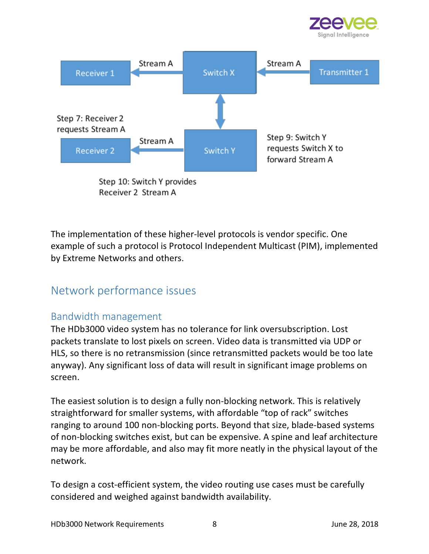



Step 10: Switch Y provides Receiver 2 Stream A

The implementation of these higher-level protocols is vendor specific. One example of such a protocol is Protocol Independent Multicast (PIM), implemented by Extreme Networks and others.

# Network performance issues

### Bandwidth management

The HDb3000 video system has no tolerance for link oversubscription. Lost packets translate to lost pixels on screen. Video data is transmitted via UDP or HLS, so there is no retransmission (since retransmitted packets would be too late anyway). Any significant loss of data will result in significant image problems on screen.

The easiest solution is to design a fully non-blocking network. This is relatively straightforward for smaller systems, with affordable "top of rack" switches ranging to around 100 non-blocking ports. Beyond that size, blade-based systems of non-blocking switches exist, but can be expensive. A spine and leaf architecture may be more affordable, and also may fit more neatly in the physical layout of the network.

To design a cost-efficient system, the video routing use cases must be carefully considered and weighed against bandwidth availability.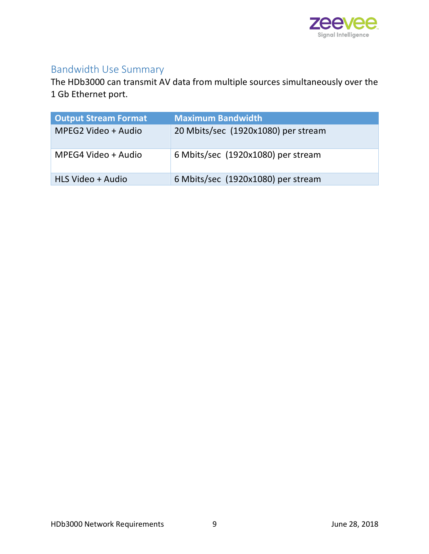

# Bandwidth Use Summary

The HDb3000 can transmit AV data from multiple sources simultaneously over the 1 Gb Ethernet port.

| <b>Output Stream Format</b> | <b>Maximum Bandwidth</b>            |
|-----------------------------|-------------------------------------|
| MPEG2 Video + Audio         | 20 Mbits/sec (1920x1080) per stream |
| MPEG4 Video + Audio         | 6 Mbits/sec (1920x1080) per stream  |
| HLS Video + Audio           | 6 Mbits/sec (1920x1080) per stream  |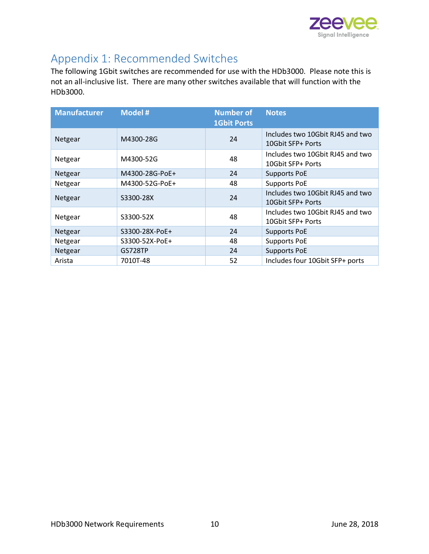

# Appendix 1: Recommended Switches

The following 1Gbit switches are recommended for use with the HDb3000. Please note this is not an all-inclusive list. There are many other switches available that will function with the HDb3000.

| <b>Manufacturer</b> | <b>Model#</b>  | <b>Number of</b><br><b>1Gbit Ports</b> | <b>Notes</b>                                          |
|---------------------|----------------|----------------------------------------|-------------------------------------------------------|
| Netgear             | M4300-28G      | 24                                     | Includes two 10Gbit RJ45 and two<br>10Gbit SFP+ Ports |
| Netgear             | M4300-52G      | 48                                     | Includes two 10Gbit RJ45 and two<br>10Gbit SFP+ Ports |
| Netgear             | M4300-28G-PoE+ | 24                                     | <b>Supports PoE</b>                                   |
| Netgear             | M4300-52G-PoE+ | 48                                     | <b>Supports PoE</b>                                   |
| Netgear             | S3300-28X      | 24                                     | Includes two 10Gbit RJ45 and two<br>10Gbit SFP+ Ports |
| Netgear             | S3300-52X      | 48                                     | Includes two 10Gbit RJ45 and two<br>10Gbit SFP+ Ports |
| Netgear             | S3300-28X-PoE+ | 24                                     | <b>Supports PoE</b>                                   |
| Netgear             | S3300-52X-PoE+ | 48                                     | <b>Supports PoE</b>                                   |
| Netgear             | GS728TP        | 24                                     | <b>Supports PoE</b>                                   |
| Arista              | 7010T-48       | 52                                     | Includes four 10Gbit SFP+ ports                       |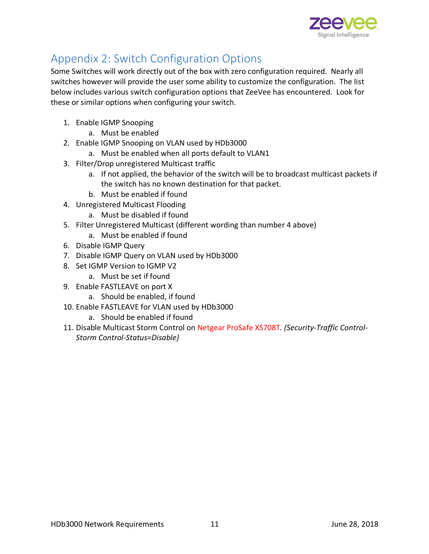

# Appendix 2: Switch Configuration Options

Some Switches will work directly out of the box with zero configuration required. Nearly all switches however will provide the user some ability to customize the configuration. The list below includes various switch configuration options that ZeeVee has encountered. Look for these or similar options when configuring your switch.

- 1. Enable IGMP Snooping
	- a. Must be enabled
- 2. Enable IGMP Snooping on VLAN used by HDb3000
	- a. Must be enabled when all ports default to VLAN1
- 3. Filter/Drop unregistered Multicast traffic
	- a. If not applied, the behavior of the switch will be to broadcast multicast packets if the switch has no known destination for that packet.
	- b. Must be enabled if found
- 4. Unregistered Multicast Flooding
	- a. Must be disabled if found
- 5. Filter Unregistered Multicast (different wording than number 4 above)
	- a. Must be enabled if found
- 6. Disable IGMP Query
- 7. Disable IGMP Query on VLAN used by HDb3000
- 8. Set IGMP Version to IGMP V2
	- a. Must be set if found
- 9. Enable FASTLEAVE on port X
	- a. Should be enabled, if found
- 10. Enable FASTLEAVE for VLAN used by HDb3000
	- a. Should be enabled if found
- 11. Disable Multicast Storm Control on Netgear ProSafe XS708T*. (Security-Traffic Control-Storm Control-Status=Disable)*